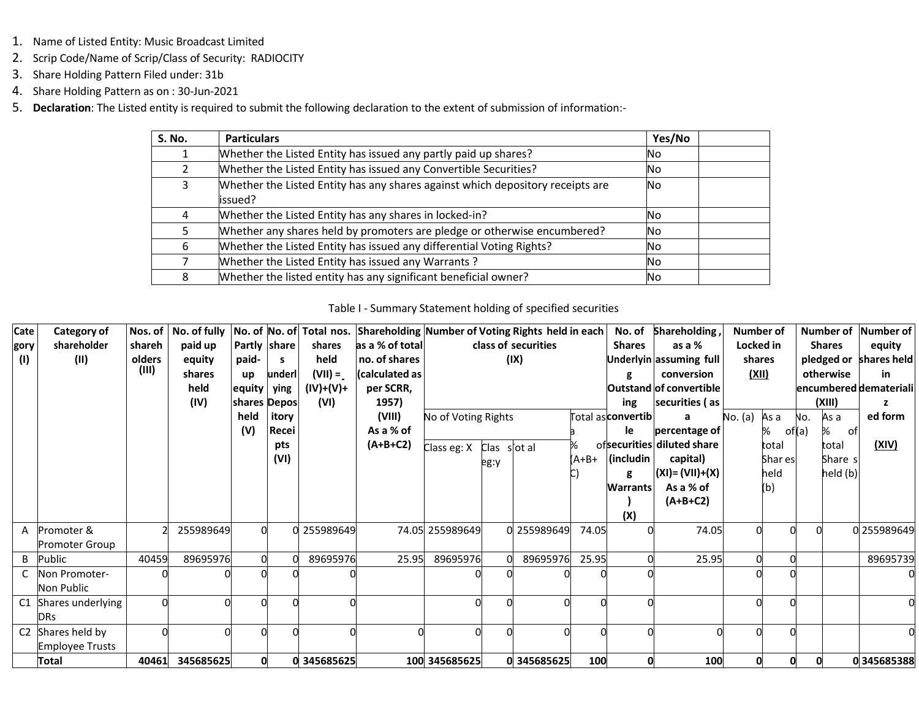- 1. Name of Listed Entity: Music Broadcast Limited
- 2. Scrip Code/Name of Scrip/Class of Security: RADIOCITY
- 3. Share Holding Pattern Filed under: 31b
- 4. Share Holding Pattern as on : 30-Jun-2021
- 5. **Declaration**: The Listed entity is required to submit the following declaration to the extent of submission of information:-

| S. No. | <b>Particulars</b>                                                                        | Yes/No |  |
|--------|-------------------------------------------------------------------------------------------|--------|--|
|        | Whether the Listed Entity has issued any partly paid up shares?                           | No.    |  |
|        | Whether the Listed Entity has issued any Convertible Securities?                          | No.    |  |
| 3      | Whether the Listed Entity has any shares against which depository receipts are<br>issued? | No.    |  |
| 4      | Whether the Listed Entity has any shares in locked-in?                                    | No.    |  |
|        | Whether any shares held by promoters are pledge or otherwise encumbered?                  | No.    |  |
| 6      | Whether the Listed Entity has issued any differential Voting Rights?                      | No.    |  |
|        | Whether the Listed Entity has issued any Warrants?                                        | No.    |  |
| 8      | Whether the listed entity has any significant beneficial owner?                           | No.    |  |

#### Table I - Summary Statement holding of specified securities

| Cate<br>gory<br>(1) | Category of<br>shareholder<br>(II)       | Nos. of<br>shareh<br>olders<br>(III) | No. of fully<br>paid up<br>equity<br>shares<br>held<br>(IV) | Partly share<br>paid-<br>up<br>equity<br>shares Depos<br>held<br>(V) | s.<br>underl<br>ying<br>itory<br>Recei | No. of No. of Total nos.<br>shares<br>held<br>$(VII) =$<br>$(IV)+(V)+$<br>(VI) | Shareholding Number of Voting Rights held in each<br>as a % of total<br>no. of shares<br>(calculated as<br>per SCRR,<br>1957)<br>(VIII)<br>As a % of | No of Voting Rights |                      | class of securities<br>(IX) |       | No. of<br><b>Shares</b><br>g<br>ing<br><b>Total asconvertibl</b><br>le | Shareholding,<br>as a %<br>Jnderlyin assuming full<br>conversion<br>Outstand of convertible<br>securities (as<br>percentage of | <b>Number of</b><br>Locked in<br>shares<br>(XII)<br>No. (a) | As a<br>%<br>of(a)              | N٥. | Number of<br><b>Shares</b><br>otherwise<br>(XIII)<br>As a<br>℅<br>ofl | Number of<br>equity<br>pledged or shares held<br>in<br>encumbered demateriali<br>ed form |
|---------------------|------------------------------------------|--------------------------------------|-------------------------------------------------------------|----------------------------------------------------------------------|----------------------------------------|--------------------------------------------------------------------------------|------------------------------------------------------------------------------------------------------------------------------------------------------|---------------------|----------------------|-----------------------------|-------|------------------------------------------------------------------------|--------------------------------------------------------------------------------------------------------------------------------|-------------------------------------------------------------|---------------------------------|-----|-----------------------------------------------------------------------|------------------------------------------------------------------------------------------|
|                     |                                          |                                      |                                                             |                                                                      | pts<br>(VI)                            |                                                                                | $(A+B+C2)$                                                                                                                                           | Class eg: X         | Clas s'ot al<br>eg:y |                             | (A+B+ | (includin<br>g<br><b>Warrants</b><br>(X)                               | ofsecurities diluted share<br>capital)<br>$(XI) = (VII)+(X)$<br>As a % of<br>$(A+B+C2)$                                        |                                                             | total<br>Shar es<br>held<br>(b) |     | total<br>Share s<br>held (b)                                          | (XIV)                                                                                    |
| A                   | Promoter &<br><b>Promoter Group</b>      |                                      | 255989649                                                   |                                                                      |                                        | 0 255989649                                                                    |                                                                                                                                                      | 74.05 255989649     |                      | 0 255989649                 | 74.05 |                                                                        | 74.05                                                                                                                          |                                                             |                                 |     |                                                                       | 0 255989649                                                                              |
| B                   | Public                                   | 40459                                | 89695976                                                    |                                                                      |                                        | 89695976                                                                       | 25.95                                                                                                                                                | 89695976            |                      | 89695976                    | 25.95 |                                                                        | 25.95                                                                                                                          |                                                             |                                 |     |                                                                       | 89695739                                                                                 |
|                     | Non Promoter-<br>Non Public              |                                      |                                                             |                                                                      |                                        |                                                                                |                                                                                                                                                      |                     |                      |                             |       |                                                                        |                                                                                                                                |                                                             |                                 |     |                                                                       |                                                                                          |
| C1                  | Shares underlying<br><b>DRs</b>          |                                      |                                                             |                                                                      |                                        |                                                                                |                                                                                                                                                      |                     |                      |                             |       |                                                                        |                                                                                                                                |                                                             |                                 |     |                                                                       |                                                                                          |
| C <sub>2</sub>      | Shares held by<br><b>Employee Trusts</b> |                                      |                                                             |                                                                      |                                        |                                                                                |                                                                                                                                                      |                     |                      |                             |       |                                                                        |                                                                                                                                |                                                             |                                 |     |                                                                       |                                                                                          |
|                     | Total                                    | 40461                                | 345685625                                                   |                                                                      |                                        | 0 345685625                                                                    |                                                                                                                                                      | 100 345685625       |                      | 0 345685625                 | 100   |                                                                        | 100                                                                                                                            |                                                             |                                 |     |                                                                       | 0345685388                                                                               |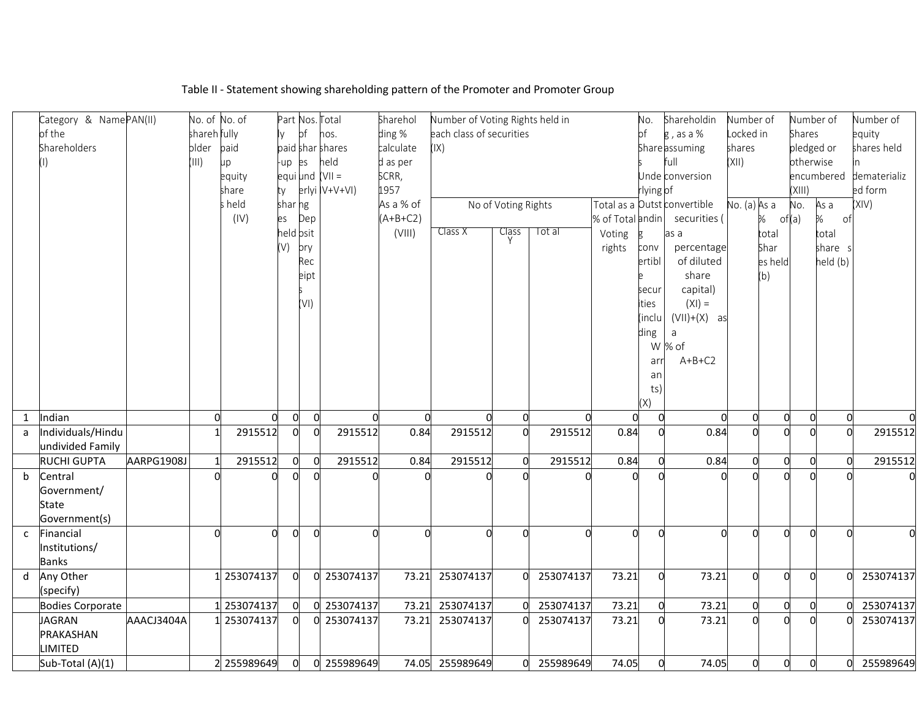|   | Category & NamePAN(II)  |            | No. of No. of |             |                |                | Part Nos. Total  | Sharehol   | Number of Voting Rights held in |                     |             |                  | No.       | Shareholdin                  | Number of      |                | Number of      |            | Number of    |
|---|-------------------------|------------|---------------|-------------|----------------|----------------|------------------|------------|---------------------------------|---------------------|-------------|------------------|-----------|------------------------------|----------------|----------------|----------------|------------|--------------|
|   | of the                  |            | shareh fully  |             |                | of             | nos.             | ding %     | each class of securities        |                     |             |                  | bf        | $\frac{1}{5}$ , as a %       | Locked in      |                | Shares         |            | equity       |
|   | Shareholders            |            | older         | paid        |                |                | paid shar shares | calculate  | (IX)                            |                     |             |                  |           | Share assuming               | shares         |                | pledged or     |            | shares held  |
|   | (1)                     |            | (III)         | up          | up es          |                | held             | d as per   |                                 |                     |             |                  |           | full                         | (X  )          |                | otherwise      |            |              |
|   |                         |            |               | equity      |                |                | equi und (VII =  | SCRR,      |                                 |                     |             |                  |           | Unde conversion              |                |                |                | encumbered | dematerializ |
|   |                         |            |               | share       | ty             |                | erlyi IV+V+VI)   | 1957       |                                 |                     |             |                  | rlying of |                              |                |                | (XIII)         |            | ed form      |
|   |                         |            |               | s held      | shar ng        |                |                  | As a % of  |                                 | No of Voting Rights |             |                  |           | Total as a Outst convertible | No. (a) As a   |                | No.            | As a       | (XIV)        |
|   |                         |            |               | (IV)        | es             | Dep            |                  | $(A+B+C2)$ |                                 |                     |             | % of Total andin |           | securities (                 |                | % of(a)        |                | ℅<br>of    |              |
|   |                         |            |               |             | held osit      |                |                  | (VIII)     | Class X                         | Class               | Tot al      | Voting           | Þ.        | as a                         |                | total          |                | total      |              |
|   |                         |            |               |             | (V)            | ory            |                  |            |                                 |                     |             | rights           | conv      | percentage                   |                | Shar           |                | share s    |              |
|   |                         |            |               |             |                | Rec            |                  |            |                                 |                     |             |                  | ertibl    | of diluted                   |                | es held        |                | held (b)   |              |
|   |                         |            |               |             |                | eipt           |                  |            |                                 |                     |             |                  |           | share                        |                | (b)            |                |            |              |
|   |                         |            |               |             |                |                |                  |            |                                 |                     |             |                  | secur     | capital)                     |                |                |                |            |              |
|   |                         |            |               |             |                | (VI)           |                  |            |                                 |                     |             |                  | ties      | $(XI) =$                     |                |                |                |            |              |
|   |                         |            |               |             |                |                |                  |            |                                 |                     |             |                  | (inclu    | $(VII)+(X)$ as               |                |                |                |            |              |
|   |                         |            |               |             |                |                |                  |            |                                 |                     |             |                  | ding      | a                            |                |                |                |            |              |
|   |                         |            |               |             |                |                |                  |            |                                 |                     |             |                  |           | W % of                       |                |                |                |            |              |
|   |                         |            |               |             |                |                |                  |            |                                 |                     |             |                  | arr       | $A+B+C2$                     |                |                |                |            |              |
|   |                         |            |               |             |                |                |                  |            |                                 |                     |             |                  | an        |                              |                |                |                |            |              |
|   |                         |            |               |             |                |                |                  |            |                                 |                     |             |                  | ts)       |                              |                |                |                |            |              |
|   |                         |            |               |             |                |                |                  |            |                                 |                     |             |                  | (X)       |                              |                |                |                |            |              |
| 1 | Indian                  |            | $\Omega$      | $\Omega$    | $\Omega$       | $\Omega$       |                  | $\Omega$   |                                 | $\Omega$            | $\Omega$    | $\Omega$         |           | $\Omega$                     | 0              | $\overline{0}$ | $\Omega$       |            |              |
| a | Individuals/Hindu       |            |               | 2915512     | $\Omega$       | $\Omega$       | 2915512          | 0.84       | 2915512                         | $\Omega$            | 2915512     | 0.84             |           | 0.84                         | $\Omega$       |                |                |            | 2915512      |
|   | undivided Family        |            |               |             |                |                |                  |            |                                 |                     |             |                  |           |                              |                |                |                |            |              |
|   | <b>RUCHI GUPTA</b>      | AARPG1908J |               | 2915512     | $\overline{0}$ | $\overline{0}$ | 2915512          | 0.84       | 2915512                         | $\overline{0}$      | 2915512     | 0.84             |           | 0.84                         | $\mathbf 0$    | $\overline{0}$ | $\overline{0}$ |            | 2915512      |
| b | Central                 |            |               |             |                |                |                  |            |                                 |                     |             |                  |           |                              | O              |                |                |            |              |
|   | Government/             |            |               |             |                |                |                  |            |                                 |                     |             |                  |           |                              |                |                |                |            |              |
|   | <b>State</b>            |            |               |             |                |                |                  |            |                                 |                     |             |                  |           |                              |                |                |                |            |              |
|   | Government(s)           |            |               |             |                |                |                  |            |                                 |                     |             |                  |           |                              |                |                |                |            |              |
| C | Financial               |            | $\Omega$      | $\Omega$    | $\Omega$       | $\Omega$       |                  | O          |                                 | O                   | $\Omega$    | $\Omega$         | $\cap$    | $\Omega$                     | $\Omega$       | $\Omega$       | $\Omega$       |            | $\Omega$     |
|   | Institutions/           |            |               |             |                |                |                  |            |                                 |                     |             |                  |           |                              |                |                |                |            |              |
|   | <b>Banks</b>            |            |               |             |                |                |                  |            |                                 |                     |             |                  |           |                              |                |                |                |            |              |
| d | Any Other               |            |               | 253074137   | $\overline{0}$ | $\mathbf{0}$   | 253074137        | 73.21      | 253074137                       | $\Omega$            | 253074137   | 73.21            | $\Omega$  | 73.21                        | $\mathbf 0$    | $\Omega$       | $\Omega$       |            | 253074137    |
|   | (specify)               |            |               |             |                |                |                  |            |                                 |                     |             |                  |           |                              |                |                |                |            |              |
|   | <b>Bodies Corporate</b> |            |               | 253074137   | 0              | $\Omega$       | 253074137        | 73.21      | 253074137                       | $\Omega$            | 253074137   | 73.21            |           | 73.21                        | $\overline{0}$ | $\overline{0}$ | 0              |            | 253074137    |
|   | <b>JAGRAN</b>           | AAACJ3404A |               | 253074137   | $\Omega$       |                | 0 253074137      | 73.21      | 253074137                       |                     | 253074137   | 73.21            |           | 73.21                        | $\overline{0}$ | $\Omega$       | $\Omega$       |            | 253074137    |
|   | PRAKASHAN               |            |               |             |                |                |                  |            |                                 |                     |             |                  |           |                              |                |                |                |            |              |
|   | LIMITED                 |            |               |             |                |                |                  |            |                                 |                     |             |                  |           |                              |                |                |                |            |              |
|   | Sub-Total (A)(1)        |            |               | 2 255989649 | $\Omega$       |                | 0 255989649      |            | 74.05 255989649                 |                     | 0 255989649 | 74.05            |           | 74.05                        | $\overline{0}$ | $\overline{0}$ | $\Omega$       |            | 255989649    |

# Table II - Statement showing shareholding pattern of the Promoter and Promoter Group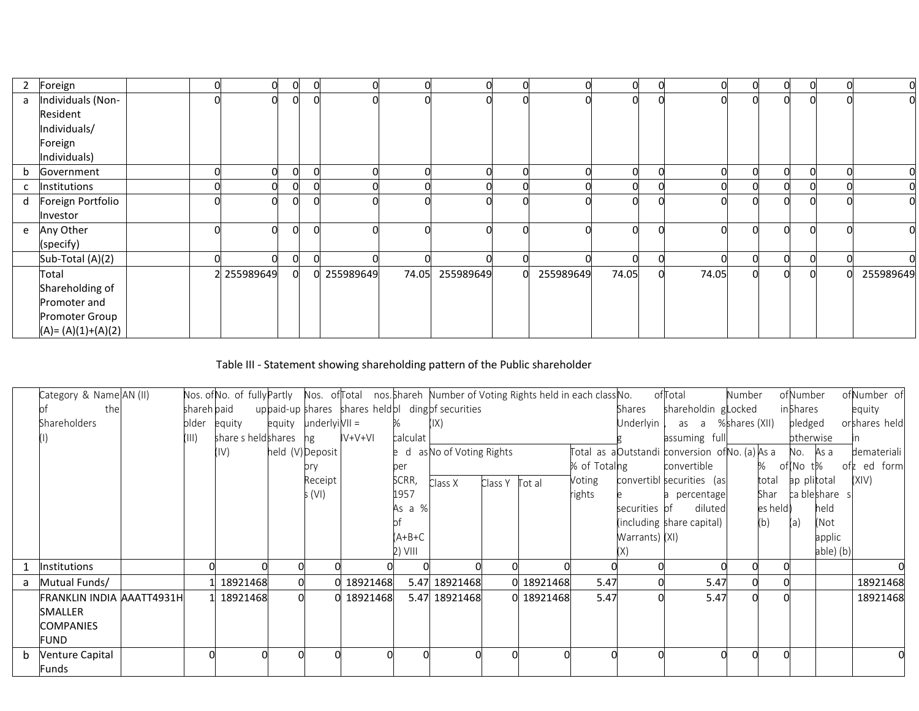| 2 | Foreign               |  | $\Omega$    | $\overline{0}$ | $\overline{0}$ |             |                 |   |           | 0     | 0        |       |  | 0 |     | O)        |
|---|-----------------------|--|-------------|----------------|----------------|-------------|-----------------|---|-----------|-------|----------|-------|--|---|-----|-----------|
| a | Individuals (Non-     |  | $\Omega$    | $\Omega$       | $\Omega$       |             |                 |   |           | 0     | $\Omega$ |       |  |   |     | 0         |
|   | Resident              |  |             |                |                |             |                 |   |           |       |          |       |  |   |     |           |
|   | Individuals/          |  |             |                |                |             |                 |   |           |       |          |       |  |   |     |           |
|   | Foreign               |  |             |                |                |             |                 |   |           |       |          |       |  |   |     |           |
|   | Individuals)          |  |             |                |                |             |                 |   |           |       |          |       |  |   |     |           |
| b | Government            |  | $\Omega$    | $\Omega$       | $\Omega$       |             |                 |   |           | 0     |          |       |  | 0 |     | 0         |
|   | Institutions          |  | O           | $\Omega$       |                |             |                 |   |           |       |          |       |  |   |     |           |
| d | Foreign Portfolio     |  | n           |                |                |             |                 |   |           |       |          |       |  |   |     | 0         |
|   | Investor              |  |             |                |                |             |                 |   |           |       |          |       |  |   |     |           |
| e | Any Other             |  | n           |                |                |             |                 |   |           |       |          |       |  |   |     | 0         |
|   | (specify)             |  |             |                |                |             |                 |   |           |       |          |       |  |   |     |           |
|   | Sub-Total (A)(2)      |  | n           |                |                |             |                 |   |           |       |          |       |  |   |     |           |
|   | Total                 |  | 2 255989649 | 0              |                | 0 255989649 | 74.05 255989649 | U | 255989649 | 74.05 | $\Omega$ | 74.05 |  |   | OL. | 255989649 |
|   | Shareholding of       |  |             |                |                |             |                 |   |           |       |          |       |  |   |     |           |
|   | Promoter and          |  |             |                |                |             |                 |   |           |       |          |       |  |   |     |           |
|   | Promoter Group        |  |             |                |                |             |                 |   |           |       |          |       |  |   |     |           |
|   | $(A) = (A)(1)+(A)(2)$ |  |             |                |                |             |                 |   |           |       |          |       |  |   |     |           |

# Table III - Statement showing shareholding pattern of the Public shareholder

|   | Category & Name AN (II)          |             |                       |                                | Nos. of No. of fully Partly Nos. of Total nos. Shareh Number of Voting Rights held in each class No. |          |                            |         |            |              |                | ofTotal                                     | <b>Number</b> |           | ofNumber  |             | ofNumber of   |
|---|----------------------------------|-------------|-----------------------|--------------------------------|------------------------------------------------------------------------------------------------------|----------|----------------------------|---------|------------|--------------|----------------|---------------------------------------------|---------------|-----------|-----------|-------------|---------------|
|   | the                              | shareh paid |                       |                                | uppaid-up shares shares held b ding b f securities                                                   |          |                            |         |            |              | Shares         | shareholdin glocked                         |               |           | in Shares |             | equity        |
|   | Shareholders                     |             | older equity          | $equiv$ $\mu$ anderlyi $VII =$ |                                                                                                      |          | (IX)                       |         |            |              | Underlyin      | as a %shares(XII)                           |               |           | pledged   |             | orshares held |
|   |                                  | (III)       | share s heldshares hg |                                | IV+V+VI                                                                                              | calculat |                            |         |            |              |                | assuming full                               |               |           | otherwise |             |               |
|   |                                  |             | (IV)                  | held (V)Deposit                |                                                                                                      |          | e d as No of Voting Rights |         |            |              |                | Total as aDutstandi conversion ofNo.(a)As a |               |           | No. As a  |             | demateriali   |
|   |                                  |             |                       | orv                            |                                                                                                      | per      |                            |         |            | % of Totalng |                | convertible                                 |               | % of(Not% |           |             | ofz ed form   |
|   |                                  |             |                       | Receipt                        |                                                                                                      | SCRR,    | Class X                    | Class Y | Tot al     | Voting       |                | convertibl securities (as                   |               | total     |           | ap plitotal | (XIV)         |
|   |                                  |             |                       | s (VI)                         |                                                                                                      | 1957     |                            |         |            | rights       |                | a percentage                                |               | Shar      |           | ca bleshare |               |
|   |                                  |             |                       |                                |                                                                                                      | As a %   |                            |         |            |              | securities of  | diluted                                     |               | es held)  |           | held        |               |
|   |                                  |             |                       |                                |                                                                                                      |          |                            |         |            |              |                | (including share capital)                   |               | (b)       | (a)       | (Not        |               |
|   |                                  |             |                       |                                |                                                                                                      | (A+B+C   |                            |         |            |              | Warrants) (XI) |                                             |               |           |           | applic      |               |
|   |                                  |             |                       |                                |                                                                                                      | 2) VIII  |                            |         |            |              |                |                                             |               |           |           | able) (b)   |               |
|   | <b>Institutions</b>              |             |                       |                                |                                                                                                      |          |                            |         |            |              |                |                                             |               |           |           |             |               |
| a | Mutual Funds/                    |             | 1 18921468            |                                | 0 18921468                                                                                           |          | 5.47 18921468              |         | 0 18921468 | 5.47         |                | 5.47                                        |               |           |           |             | 18921468      |
|   | <b>FRANKLIN INDIA AAATT4931H</b> |             | 1 18921468            |                                | 0 18921468                                                                                           |          | 5.47 18921468              |         | 0 18921468 | 5.47         |                | 5.47                                        | $\Omega$      |           |           |             | 18921468      |
|   | <b>SMALLER</b>                   |             |                       |                                |                                                                                                      |          |                            |         |            |              |                |                                             |               |           |           |             |               |
|   | <b>COMPANIES</b>                 |             |                       |                                |                                                                                                      |          |                            |         |            |              |                |                                             |               |           |           |             |               |
|   | FUND                             |             |                       |                                |                                                                                                      |          |                            |         |            |              |                |                                             |               |           |           |             |               |
| b | <b>Venture Capital</b>           |             |                       |                                |                                                                                                      |          |                            |         |            |              |                |                                             |               |           |           |             |               |
|   | Funds                            |             |                       |                                |                                                                                                      |          |                            |         |            |              |                |                                             |               |           |           |             |               |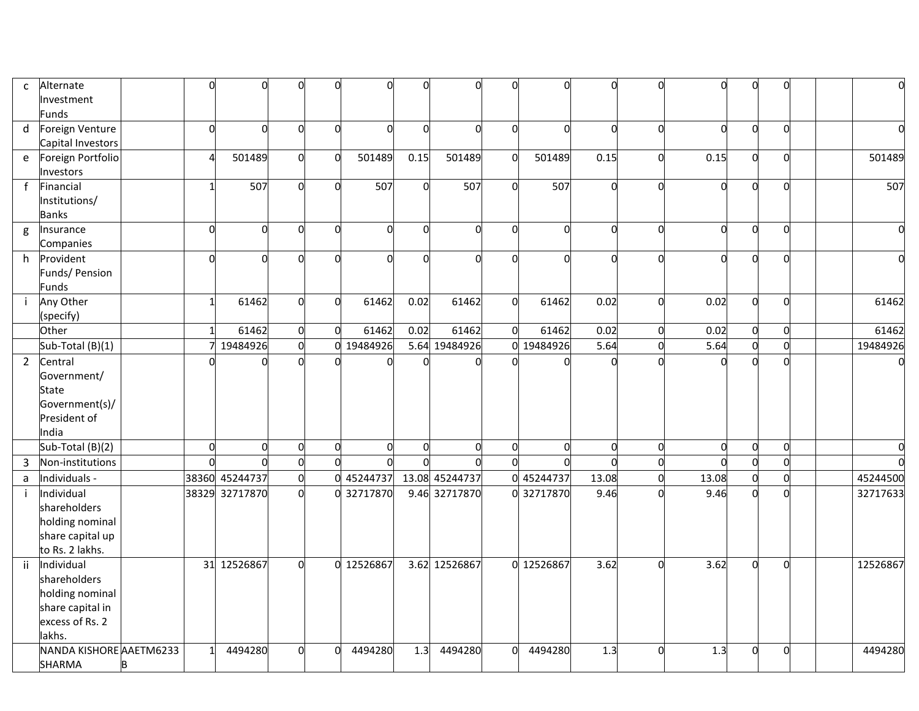| $\mathsf{C}$ | Alternate               |   |                |                | U            | U              |                | $\Omega$       | $\Omega$       |          |                |                |                |          |                |        |           |          |
|--------------|-------------------------|---|----------------|----------------|--------------|----------------|----------------|----------------|----------------|----------|----------------|----------------|----------------|----------|----------------|--------|-----------|----------|
|              | Investment              |   |                |                |              |                |                |                |                |          |                |                |                |          |                |        |           |          |
|              | Funds                   |   |                |                |              |                |                |                |                |          |                |                |                |          |                |        |           |          |
| d            | Foreign Venture         |   | $\Omega$       | $\Omega$       | <sup>n</sup> | $\Omega$       | $\Omega$       | $\Omega$       | $\Omega$       | $\Omega$ | $\Omega$       | $\Omega$       | $\Omega$       | O        | O              |        | $\Omega$  |          |
|              | Capital Investors       |   |                |                |              |                |                |                |                |          |                |                |                |          |                |        |           |          |
| e            | Foreign Portfolio       |   |                | 501489         | O            | U              | 501489         | 0.15           | 501489         |          | 501489         | 0.15           | $\Omega$       | 0.15     |                |        | O         | 501489   |
|              | Investors               |   |                |                |              |                |                |                |                |          |                |                |                |          |                |        |           |          |
| $\mathbf{f}$ | Financial               |   |                | 507            | $\Omega$     | $\Omega$       | 507            | $\Omega$       | 507            | $\Omega$ | 507            |                | $\Omega$       |          | O              |        | $\bigcap$ | 507      |
|              | Institutions/           |   |                |                |              |                |                |                |                |          |                |                |                |          |                |        |           |          |
|              | <b>Banks</b>            |   |                |                |              |                |                |                |                |          |                |                |                |          |                |        |           |          |
| g            | Insurance               |   | $\Omega$       | $\Omega$       | <sub>0</sub> | $\Omega$       | $\Omega$       | $\Omega$       | $\Omega$       | $\Omega$ | $\Omega$       | $\Omega$       | $\Omega$       | $\Omega$ | $\Omega$       |        | $\Omega$  | $\Omega$ |
|              | Companies               |   |                |                |              |                |                |                |                |          |                |                |                |          |                |        |           |          |
| h.           | Provident               |   | $\Omega$       | $\Omega$       | n            | $\Omega$       | U              | $\Omega$       | $\Omega$       | $\Omega$ | $\Omega$       | C              | $\Omega$       |          | O              |        | $\Omega$  |          |
|              | Funds/ Pension          |   |                |                |              |                |                |                |                |          |                |                |                |          |                |        |           |          |
|              | <b>Funds</b>            |   |                |                |              |                |                |                |                |          |                |                |                |          |                |        |           |          |
|              | Any Other               |   |                | 61462          | 0            | $\Omega$       | 61462          | 0.02           | 61462          | $\Omega$ | 61462          | 0.02           | $\overline{0}$ | 0.02     | $\Omega$       |        | $\Omega$  | 61462    |
|              | (specify)               |   |                |                |              |                |                |                |                |          |                |                |                |          |                |        |           |          |
|              | Other                   |   |                | 61462          | U            | $\Omega$       | 61462          | 0.02           | 61462          | $\Omega$ | 61462          | 0.02           | $\mathbf 0$    | 0.02     | $\Omega$       |        | $\bigcap$ | 61462    |
|              | Sub-Total (B)(1)        |   |                | 19484926       | U            | U              | 19484926       |                | 5.64 19484926  |          | 19484926       | 5.64           | $\mathbf 0$    | 5.64     | o              |        | $\Omega$  | 19484926 |
| $2^{\circ}$  | Central                 |   |                |                |              |                |                |                |                |          |                |                |                |          | $\Omega$       |        |           |          |
|              | Government/             |   |                |                |              |                |                |                |                |          |                |                |                |          |                |        |           |          |
|              | <b>State</b>            |   |                |                |              |                |                |                |                |          |                |                |                |          |                |        |           |          |
|              | Government(s)/          |   |                |                |              |                |                |                |                |          |                |                |                |          |                |        |           |          |
|              | President of            |   |                |                |              |                |                |                |                |          |                |                |                |          |                |        |           |          |
|              | India                   |   |                |                |              |                |                |                |                |          |                |                |                |          |                |        |           |          |
|              | Sub-Total (B)(2)        |   | $\overline{0}$ | $\Omega$       | $\Omega$     | $\overline{0}$ | $\overline{0}$ | $\overline{0}$ | $\Omega$       | $\Omega$ | $\overline{0}$ | $\overline{0}$ | $\mathbf 0$    | $\Omega$ | $\overline{0}$ |        | $\Omega$  |          |
| 3            | Non-institutions        |   | $\Omega$       |                | $\Omega$     | <sub>0</sub>   | $\Omega$       | $\Omega$       | $\Omega$       |          | $\Omega$       | $\Omega$       | $\overline{0}$ |          | $\Omega$       | $\cap$ |           | $\Omega$ |
| a            | Individuals -           |   | 38360          | 45244737       | $\Omega$     | $\Omega$       | 45244737       |                | 13.08 45244737 |          | 45244737       | 13.08          | $\mathbf 0$    | 13.08    | $\overline{0}$ |        | $\Omega$  | 45244500 |
|              | Individual              |   |                | 38329 32717870 | $\Omega$     |                | 0 32717870     |                | 9.46 32717870  |          | 0 32717870     | 9.46           | $\Omega$       | 9.46     | <sub>0</sub>   |        | C         | 32717633 |
|              | shareholders            |   |                |                |              |                |                |                |                |          |                |                |                |          |                |        |           |          |
|              | holding nominal         |   |                |                |              |                |                |                |                |          |                |                |                |          |                |        |           |          |
|              | share capital up        |   |                |                |              |                |                |                |                |          |                |                |                |          |                |        |           |          |
|              | to Rs. 2 lakhs.         |   |                |                |              |                |                |                |                |          |                |                |                |          |                |        |           |          |
| ii.          | Individual              |   |                | 31 12526867    | $\Omega$     |                | 0 12526867     |                | 3.62 12526867  |          | 0 12526867     | 3.62           | $\mathbf 0$    | 3.62     | O              |        | $\Omega$  | 12526867 |
|              | shareholders            |   |                |                |              |                |                |                |                |          |                |                |                |          |                |        |           |          |
|              | holding nominal         |   |                |                |              |                |                |                |                |          |                |                |                |          |                |        |           |          |
|              | share capital in        |   |                |                |              |                |                |                |                |          |                |                |                |          |                |        |           |          |
|              | excess of Rs. 2         |   |                |                |              |                |                |                |                |          |                |                |                |          |                |        |           |          |
|              | lakhs.                  |   |                |                |              |                |                |                |                |          |                |                | $\Omega$       |          | O              |        |           |          |
|              | NANDA KISHORE AAETM6233 |   |                | 4494280        | n            | ŋ              | 4494280        | 1.3            | 4494280        |          | 4494280        | 1.3            |                | 1.3      |                |        | n         | 4494280  |
|              | <b>SHARMA</b>           | B |                |                |              |                |                |                |                |          |                |                |                |          |                |        |           |          |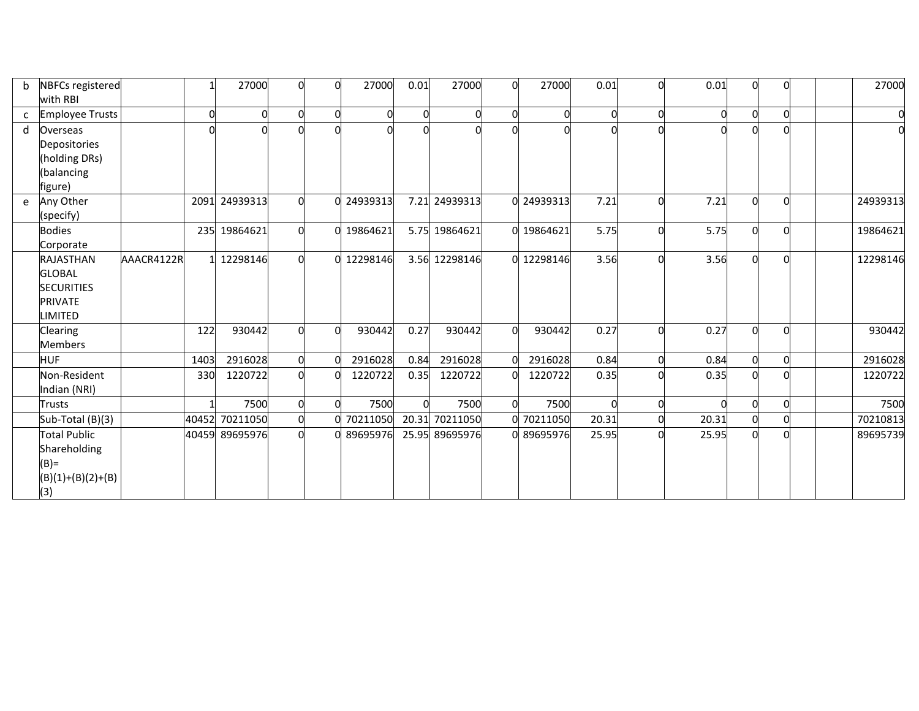| b            | NBFCs registered       |            |      | 27000          | 0        | 27000      | 0.01     | 27000          | 27000      | 0.01     | O           | 0.01  | $\Omega$ |           |  | 27000    |
|--------------|------------------------|------------|------|----------------|----------|------------|----------|----------------|------------|----------|-------------|-------|----------|-----------|--|----------|
|              | with RBI               |            |      |                |          |            |          |                |            |          |             |       |          |           |  |          |
| $\mathsf{C}$ | <b>Employee Trusts</b> |            |      |                |          |            | U        |                | 0          | $\Omega$ | $\Omega$    |       | $\Omega$ |           |  |          |
| d            | Overseas               |            |      |                |          |            |          |                |            |          | $\Omega$    |       |          |           |  |          |
|              | Depositories           |            |      |                |          |            |          |                |            |          |             |       |          |           |  |          |
|              | (holding DRs)          |            |      |                |          |            |          |                |            |          |             |       |          |           |  |          |
|              | (balancing             |            |      |                |          |            |          |                |            |          |             |       |          |           |  |          |
|              | figure)                |            |      |                |          |            |          |                |            |          |             |       |          |           |  |          |
|              | e Any Other            |            |      | 2091 24939313  |          | 0 24939313 |          | 7.21 24939313  | 0 24939313 | 7.21     | $\Omega$    | 7.21  | $\Omega$ | $\bigcap$ |  | 24939313 |
|              | (specify)              |            |      |                |          |            |          |                |            |          |             |       |          |           |  |          |
|              | <b>Bodies</b>          |            |      | 235 19864621   |          | 0 19864621 |          | 5.75 19864621  | 19864621   | 5.75     | $\Omega$    | 5.75  |          |           |  | 19864621 |
|              | Corporate              |            |      |                |          |            |          |                |            |          |             |       |          |           |  |          |
|              | <b>RAJASTHAN</b>       | AAACR4122R |      | 12298146       |          | 0 12298146 |          | 3.56 12298146  | 12298146   | 3.56     | $\Omega$    | 3.56  |          |           |  | 12298146 |
|              | <b>GLOBAL</b>          |            |      |                |          |            |          |                |            |          |             |       |          |           |  |          |
|              | <b>SECURITIES</b>      |            |      |                |          |            |          |                |            |          |             |       |          |           |  |          |
|              | <b>PRIVATE</b>         |            |      |                |          |            |          |                |            |          |             |       |          |           |  |          |
|              | LIMITED                |            |      |                |          |            |          |                |            |          |             |       |          |           |  |          |
|              | <b>Clearing</b>        |            | 122  | 930442         | $\Omega$ | 930442     | 0.27     | 930442         | 930442     | 0.27     | $\Omega$    | 0.27  | $\Omega$ | $\cap$    |  | 930442   |
|              | <b>Members</b>         |            |      |                |          |            |          |                |            |          |             |       |          |           |  |          |
|              | <b>HUF</b>             |            | 1403 | 2916028        |          | 2916028    | 0.84     | 2916028        | 2916028    | 0.84     | $\mathbf 0$ | 0.84  | $\Omega$ |           |  | 2916028  |
|              | Non-Resident           |            | 330  | 1220722        | $\Omega$ | 1220722    | 0.35     | 1220722        | 1220722    | 0.35     | $\Omega$    | 0.35  | $\Omega$ |           |  | 1220722  |
|              | Indian (NRI)           |            |      |                |          |            |          |                |            |          |             |       |          |           |  |          |
|              | Trusts                 |            |      | 7500           | $\Omega$ | 7500       | $\Omega$ | 7500           | 7500       |          | $\Omega$    |       | $\Omega$ |           |  | 7500     |
|              | Sub-Total (B)(3)       |            |      | 40452 70211050 |          | 0 70211050 |          | 20.31 70211050 | 70211050   | 20.31    | $\Omega$    | 20.31 | $\Omega$ |           |  | 70210813 |
|              | Total Public           |            |      | 40459 89695976 |          | 0 89695976 |          | 25.95 89695976 | 89695976   | 25.95    | n           | 25.95 |          |           |  | 89695739 |
|              | Shareholding           |            |      |                |          |            |          |                |            |          |             |       |          |           |  |          |
|              | $(B)$ =                |            |      |                |          |            |          |                |            |          |             |       |          |           |  |          |
|              | $(B)(1)+(B)(2)+(B)$    |            |      |                |          |            |          |                |            |          |             |       |          |           |  |          |
|              | (3)                    |            |      |                |          |            |          |                |            |          |             |       |          |           |  |          |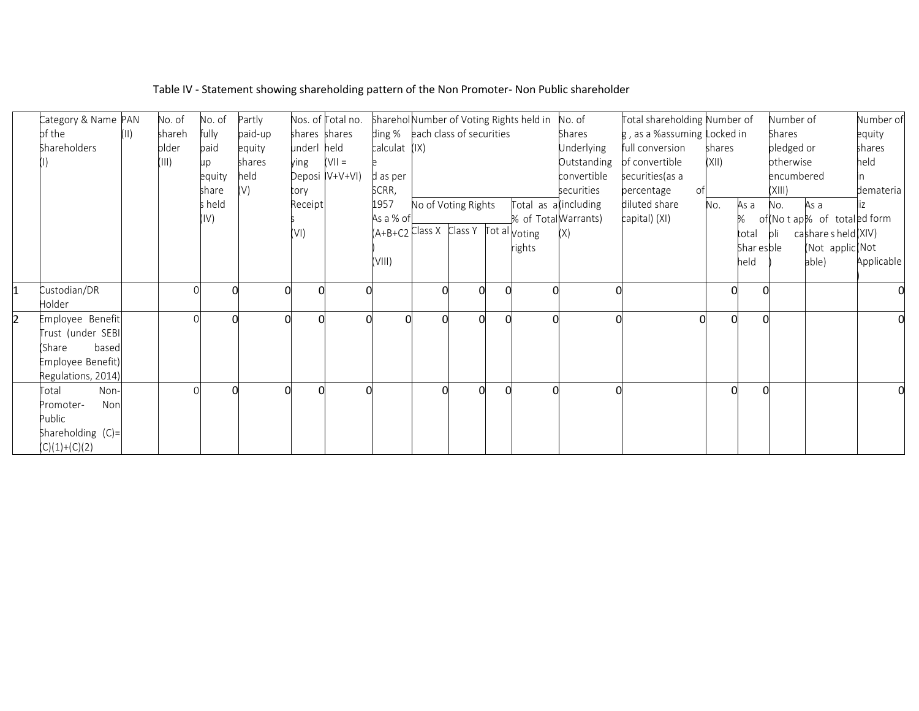|                | Category & Name PAN |      | No. of | No. of | Partly  |               | Nos. of Total no. |                                         |                     |  | Sharehol Number of Voting Rights held in | No. of      | Total shareholding Number of |        |            | Number of     |                              | Number of  |
|----------------|---------------------|------|--------|--------|---------|---------------|-------------------|-----------------------------------------|---------------------|--|------------------------------------------|-------------|------------------------------|--------|------------|---------------|------------------------------|------------|
|                | of the              | (11) | shareh | fully  | paid-up | shares shares |                   | ding % each class of securities         |                     |  |                                          | Shares      | g, as a %assuming Locked in  |        |            | <b>Shares</b> |                              | equity     |
|                | Shareholders        |      | older  | paid   | equity  | underl held   |                   | calculat (IX)                           |                     |  |                                          | Underlying  | full conversion              | shares |            | pledged or    |                              | shares     |
|                |                     |      | III)   | up     | shares  | ying          | $=$ IIV)          |                                         |                     |  |                                          | Outstanding | of convertible               | (X  )  |            | otherwise     |                              | held       |
|                |                     |      |        | equity | held    |               | Deposi IV+V+VI)   | d as per                                |                     |  |                                          | convertible | securities (as a             |        |            | encumbered    |                              |            |
|                |                     |      |        | share  | (V)     | tory          |                   | SCRR,                                   |                     |  |                                          | securities  | percentage<br>of.            |        |            | (XIII)        |                              | demateria  |
|                |                     |      |        | s held |         | Receipt       |                   | 1957                                    | No of Voting Rights |  | Total as a (including                    |             | diluted share                | No.    | As a       | No.           | As a                         |            |
|                |                     |      |        | (IV)   |         |               |                   | As a % of                               |                     |  | % of Total Warrants)                     |             | capital) (XI)                |        | ℅          |               | of (No t ap% of totaled form |            |
|                |                     |      |        |        |         | (VI)          |                   | $(A+B+C2$ Class X Class Y Tot al voting |                     |  |                                          | (X)         |                              |        | total      | bli           | cashare s held (XIV)         |            |
|                |                     |      |        |        |         |               |                   |                                         |                     |  | rights                                   |             |                              |        | Shar esble |               | (Not applic(Not              |            |
|                |                     |      |        |        |         |               |                   | (VIII)                                  |                     |  |                                          |             |                              |        | held       |               | able)                        | Applicable |
|                |                     |      |        |        |         |               |                   |                                         |                     |  |                                          |             |                              |        |            |               |                              |            |
| $\overline{1}$ | Custodian/DR        |      |        |        |         |               |                   |                                         |                     |  |                                          |             |                              | O      |            |               |                              |            |
|                | Holder              |      |        |        |         |               |                   |                                         |                     |  |                                          |             |                              |        |            |               |                              |            |
| 2              | Employee Benefit    |      |        |        |         |               |                   |                                         |                     |  |                                          |             |                              |        |            |               |                              |            |
|                | Trust (under SEBI   |      |        |        |         |               |                   |                                         |                     |  |                                          |             |                              |        |            |               |                              |            |
|                | based<br>(Share     |      |        |        |         |               |                   |                                         |                     |  |                                          |             |                              |        |            |               |                              |            |
|                | Employee Benefit)   |      |        |        |         |               |                   |                                         |                     |  |                                          |             |                              |        |            |               |                              |            |
|                | Regulations, 2014)  |      |        |        |         |               |                   |                                         |                     |  |                                          |             |                              |        |            |               |                              |            |
|                | Non-<br>Total       |      |        |        |         |               |                   |                                         |                     |  |                                          |             |                              |        |            |               |                              |            |
|                | Non<br>Promoter-    |      |        |        |         |               |                   |                                         |                     |  |                                          |             |                              |        |            |               |                              |            |
|                | Public              |      |        |        |         |               |                   |                                         |                     |  |                                          |             |                              |        |            |               |                              |            |
|                | Shareholding (C)=   |      |        |        |         |               |                   |                                         |                     |  |                                          |             |                              |        |            |               |                              |            |
|                | $(C)(1)+(C)(2)$     |      |        |        |         |               |                   |                                         |                     |  |                                          |             |                              |        |            |               |                              |            |

# Table IV - Statement showing shareholding pattern of the Non Promoter- Non Public shareholder